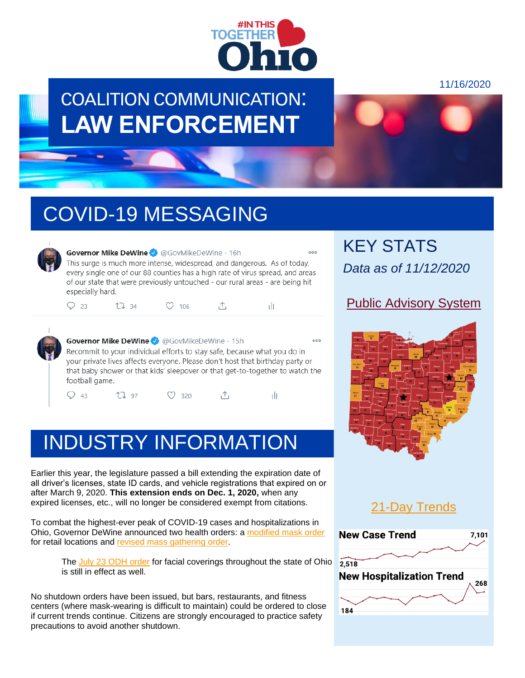

## COALITION COMMUNICATION: **LAW ENFORCEMENT**

11/16/2020

# COVID-19 MESSAGING



#### Governor Mike DeWine @ @GovMikeDeWine . 16h This surge is much more intense, widespread, and dangerous. As of today,

every single one of our 88 counties has a high rate of virus spread, and areas of our state that were previously untouched - our rural areas - are being hit especially hard.

| $Q_{23}$<br>$O$ 106<br>1734<br>$\mathbb{L}$ |  |
|---------------------------------------------|--|
|---------------------------------------------|--|



Governor Mike DeWine @ @GovMikeDeWine . 15h Recommit to your individual efforts to stay safe, because what you do in your private lives affects everyone. Please don't host that birthday party or that baby shower or that kids' sleepover or that get-to-together to watch the football game.

 $Q_{43}$ LJ 97  $O$  320  $\uparrow$ тh

# INDUSTRY INFORMATION

Earlier this year, the legislature passed a bill extending the expiration date of all driver's licenses, state ID cards, and vehicle registrations that expired on or after March 9, 2020. **This extension ends on Dec. 1, 2020,** when any expired licenses, etc., will no longer be considered exempt from citations.

To combat the highest-ever peak of COVID-19 cases and hospitalizations in Ohio, Governor DeWine announced two health orders: a [modified mask order](https://coronavirus.ohio.gov/static/publicorders/retail-and-business-compliance-facial-coverings-all-ohio.pdf) for retail locations and [revised mass gathering](https://coronavirus.ohio.gov/static/publicorders/limit-prohibit-mass-gatherings-ohio-rev-order.pdf) order.

The [July 23 ODH order](https://coronavirus.ohio.gov/static/publicorders/Directors-Order-Facial-Coverings-throughout-State-Ohio.pdf) for facial coverings throughout the state of Ohio is still in effect as well.

No shutdown orders have been issued, but bars, restaurants, and fitness centers (where mask-wearing is difficult to maintain) could be ordered to close if current trends continue. Citizens are strongly encouraged to practice safety precautions to avoid another shutdown.

KEY STATS *Data as of 11/12/2020*

### [Public Advisory System](https://coronavirus.ohio.gov/wps/portal/gov/covid-19/public-health-advisory-system)



### [21-Day Trends](https://coronavirus.ohio.gov/wps/portal/gov/covid-19/dashboards/current-trends)

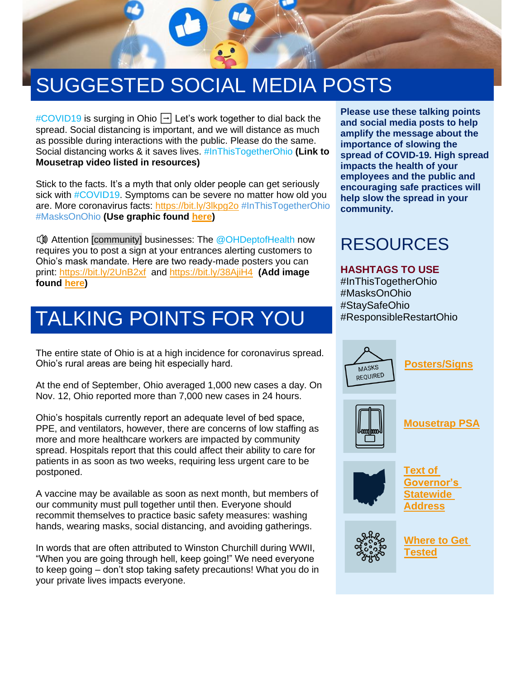# SUGGESTED SOCIAL MEDIA POSTS

 $\#$ COVID19 is surging in Ohio  $\Box$  Let's work together to dial back the spread. Social distancing is important, and we will distance as much as possible during interactions with the public. Please do the same. Social distancing works & it saves lives. #InThisTogetherOhio **(Link to Mousetrap video listed in resources)**

Stick to the facts. It's a myth that only older people can get seriously sick with **#COVID19**. Symptoms can be severe no matter how old you are. More coronavirus facts:<https://bit.ly/3lkpg2o> #InThisTogetherOhio #MasksOnOhio **(Use graphic found [here\)](https://bit.ly/3eRD95P)**

**IV** Attention [community] businesses: The @OHDeptofHealth now requires you to post a sign at your entrances alerting customers to Ohio's mask mandate. Here are two ready-made posters you can print:<https://bit.ly/2UnB2xf>and<https://bit.ly/38AjiH4>**(Add image found [here\)](https://twitter.com/GovMikeDeWine/status/1326948594625208321?s=20)**

# TALKING POINTS FOR YOU

The entire state of Ohio is at a high incidence for coronavirus spread. Ohio's rural areas are being hit especially hard.

At the end of September, Ohio averaged 1,000 new cases a day. On Nov. 12, Ohio reported more than 7,000 new cases in 24 hours.

Ohio's hospitals currently report an adequate level of bed space, PPE, and ventilators, however, there are concerns of low staffing as more and more healthcare workers are impacted by community spread. Hospitals report that this could affect their ability to care for patients in as soon as two weeks, requiring less urgent care to be postponed.

A vaccine may be available as soon as next month, but members of our community must pull together until then. Everyone should recommit themselves to practice basic safety measures: washing hands, wearing masks, social distancing, and avoiding gatherings.

In words that are often attributed to Winston Churchill during WWII, "When you are going through hell, keep going!" We need everyone to keep going – don't stop taking safety precautions! What you do in your private lives impacts everyone.

**Please use these talking points and social media posts to help amplify the message about the importance of slowing the spread of COVID-19. High spread impacts the health of your employees and the public and encouraging safe practices will help slow the spread in your community.**

### RESOURCES

#### **HASHTAGS TO USE**

#InThisTogetherOhio #MasksOnOhio #StaySafeOhio #ResponsibleRestartOhio



**[Posters/Signs](https://coronavirus.ohio.gov/wps/portal/gov/covid-19/responsible-restart-ohio/Posters-and-Signs/Posters-and-Signs)**



#### **[Mousetrap PSA](https://www.youtube.com/watch?v=o4PnSYAqQHU&feature=youtu.be)**



**[Text of](https://bit.ly/3kojag0)  [Governor's](https://bit.ly/3kojag0)  [Statewide](https://bit.ly/3kojag0)  [Address](https://bit.ly/3kojag0)**



**[Where to Get](https://coronavirus.ohio.gov/wps/portal/gov/covid-19/testing-ch-centers)  [Tested](https://coronavirus.ohio.gov/wps/portal/gov/covid-19/testing-ch-centers)**